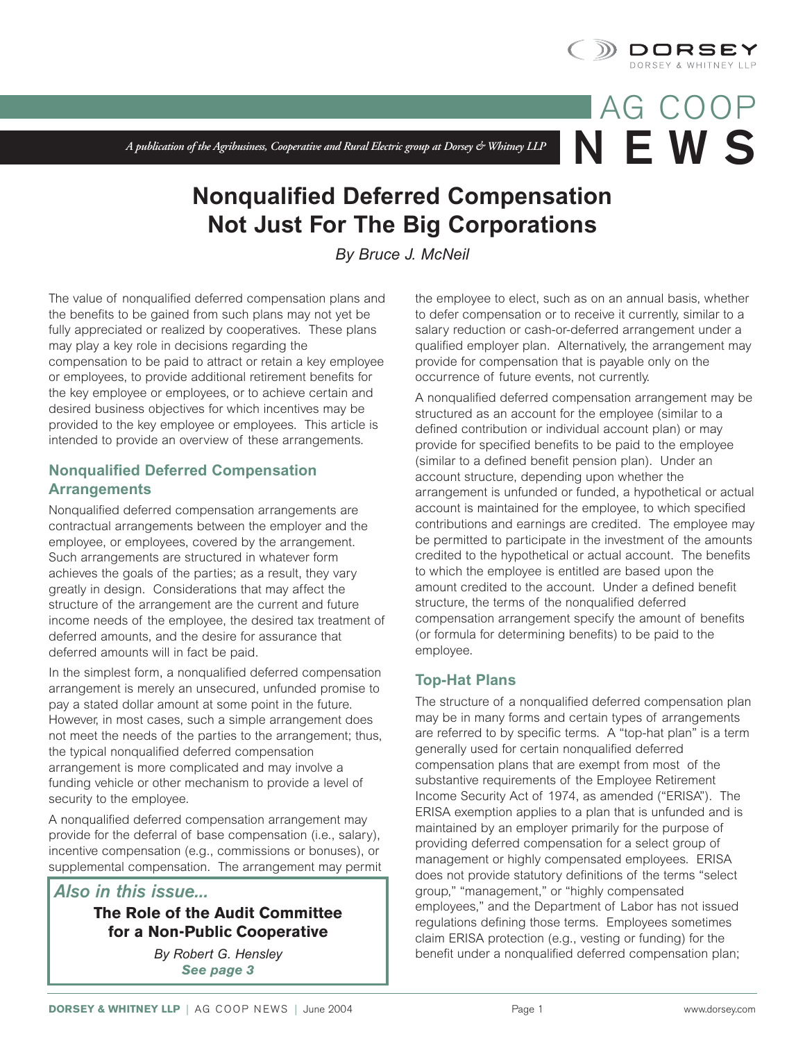

**N EWS**

AG COOP

*A publication of the Agribusiness, Cooperative and Rural Electric group at Dorsey & Whitney LLP*

# **Nonqualified Deferred Compensation Not Just For The Big Corporations**

*By Bruce J. McNeil*

The value of nonqualified deferred compensation plans and the benefits to be gained from such plans may not yet be fully appreciated or realized by cooperatives. These plans may play a key role in decisions regarding the compensation to be paid to attract or retain a key employee or employees, to provide additional retirement benefits for the key employee or employees, or to achieve certain and desired business objectives for which incentives may be provided to the key employee or employees. This article is intended to provide an overview of these arrangements.

## **Nonqualified Deferred Compensation Arrangements**

Nonqualified deferred compensation arrangements are contractual arrangements between the employer and the employee, or employees, covered by the arrangement. Such arrangements are structured in whatever form achieves the goals of the parties; as a result, they vary greatly in design. Considerations that may affect the structure of the arrangement are the current and future income needs of the employee, the desired tax treatment of deferred amounts, and the desire for assurance that deferred amounts will in fact be paid.

In the simplest form, a nonqualified deferred compensation arrangement is merely an unsecured, unfunded promise to pay a stated dollar amount at some point in the future. However, in most cases, such a simple arrangement does not meet the needs of the parties to the arrangement; thus, the typical nonqualified deferred compensation arrangement is more complicated and may involve a funding vehicle or other mechanism to provide a level of security to the employee.

A nonqualified deferred compensation arrangement may provide for the deferral of base compensation (i.e., salary), incentive compensation (e.g., commissions or bonuses), or supplemental compensation. The arrangement may permit

# *Also in this issue...*

# **The Role of the Audit Committee for a Non-Public Cooperative**

*By Robert G. Hensley See page 3*

the employee to elect, such as on an annual basis, whether to defer compensation or to receive it currently, similar to a salary reduction or cash-or-deferred arrangement under a qualified employer plan. Alternatively, the arrangement may provide for compensation that is payable only on the occurrence of future events, not currently.

A nonqualified deferred compensation arrangement may be structured as an account for the employee (similar to a defined contribution or individual account plan) or may provide for specified benefits to be paid to the employee (similar to a defined benefit pension plan). Under an account structure, depending upon whether the arrangement is unfunded or funded, a hypothetical or actual account is maintained for the employee, to which specified contributions and earnings are credited. The employee may be permitted to participate in the investment of the amounts credited to the hypothetical or actual account. The benefits to which the employee is entitled are based upon the amount credited to the account. Under a defined benefit structure, the terms of the nonqualified deferred compensation arrangement specify the amount of benefits (or formula for determining benefits) to be paid to the employee.

# **Top-Hat Plans**

The structure of a nonqualified deferred compensation plan may be in many forms and certain types of arrangements are referred to by specific terms. A "top-hat plan" is a term generally used for certain nonqualified deferred compensation plans that are exempt from most of the substantive requirements of the Employee Retirement Income Security Act of 1974, as amended ("ERISA"). The ERISA exemption applies to a plan that is unfunded and is maintained by an employer primarily for the purpose of providing deferred compensation for a select group of management or highly compensated employees. ERISA does not provide statutory definitions of the terms "select group," "management," or "highly compensated employees," and the Department of Labor has not issued regulations defining those terms. Employees sometimes claim ERISA protection (e.g., vesting or funding) for the benefit under a nonqualified deferred compensation plan;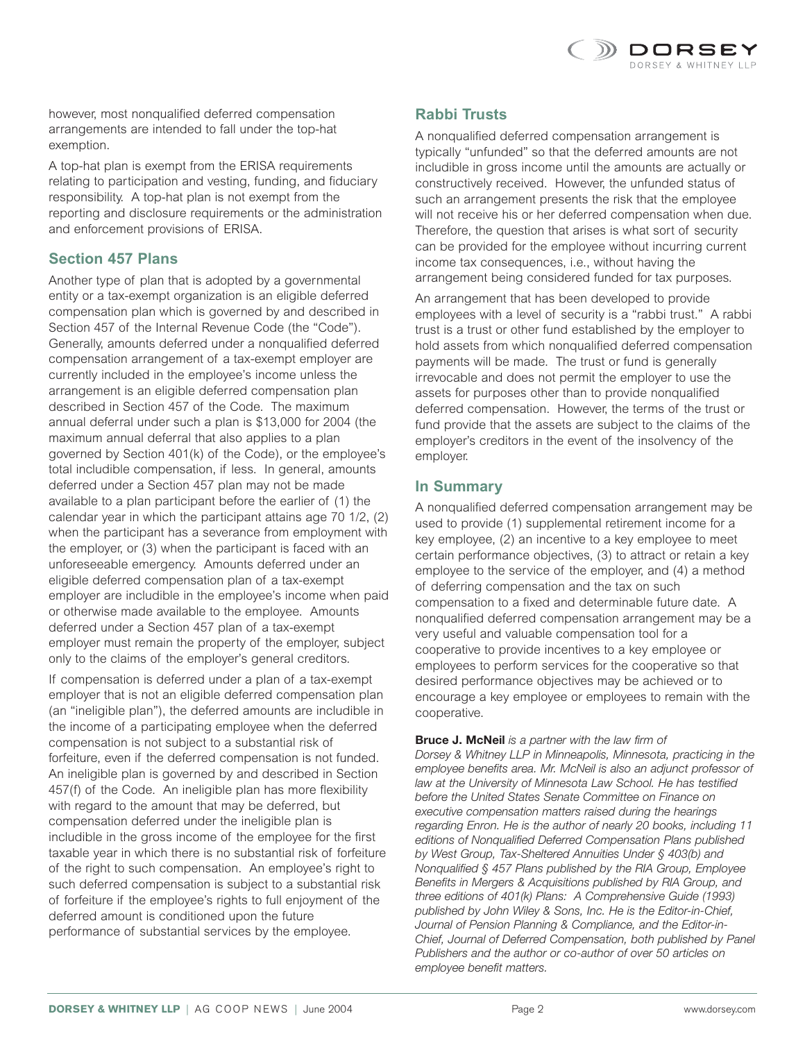

however, most nonqualified deferred compensation arrangements are intended to fall under the top-hat exemption.

A top-hat plan is exempt from the ERISA requirements relating to participation and vesting, funding, and fiduciary responsibility. A top-hat plan is not exempt from the reporting and disclosure requirements or the administration and enforcement provisions of ERISA.

### **Section 457 Plans**

Another type of plan that is adopted by a governmental entity or a tax-exempt organization is an eligible deferred compensation plan which is governed by and described in Section 457 of the Internal Revenue Code (the "Code"). Generally, amounts deferred under a nonqualified deferred compensation arrangement of a tax-exempt employer are currently included in the employee's income unless the arrangement is an eligible deferred compensation plan described in Section 457 of the Code. The maximum annual deferral under such a plan is \$13,000 for 2004 (the maximum annual deferral that also applies to a plan governed by Section 401(k) of the Code), or the employee's total includible compensation, if less. In general, amounts deferred under a Section 457 plan may not be made available to a plan participant before the earlier of (1) the calendar year in which the participant attains age 70 1/2, (2) when the participant has a severance from employment with the employer, or (3) when the participant is faced with an unforeseeable emergency. Amounts deferred under an eligible deferred compensation plan of a tax-exempt employer are includible in the employee's income when paid or otherwise made available to the employee. Amounts deferred under a Section 457 plan of a tax-exempt employer must remain the property of the employer, subject only to the claims of the employer's general creditors.

If compensation is deferred under a plan of a tax-exempt employer that is not an eligible deferred compensation plan (an "ineligible plan"), the deferred amounts are includible in the income of a participating employee when the deferred compensation is not subject to a substantial risk of forfeiture, even if the deferred compensation is not funded. An ineligible plan is governed by and described in Section 457(f) of the Code. An ineligible plan has more flexibility with regard to the amount that may be deferred, but compensation deferred under the ineligible plan is includible in the gross income of the employee for the first taxable year in which there is no substantial risk of forfeiture of the right to such compensation. An employee's right to such deferred compensation is subject to a substantial risk of forfeiture if the employee's rights to full enjoyment of the deferred amount is conditioned upon the future performance of substantial services by the employee.

#### **Rabbi Trusts**

A nonqualified deferred compensation arrangement is typically "unfunded" so that the deferred amounts are not includible in gross income until the amounts are actually or constructively received. However, the unfunded status of such an arrangement presents the risk that the employee will not receive his or her deferred compensation when due. Therefore, the question that arises is what sort of security can be provided for the employee without incurring current income tax consequences, i.e., without having the arrangement being considered funded for tax purposes.

An arrangement that has been developed to provide employees with a level of security is a "rabbi trust." A rabbi trust is a trust or other fund established by the employer to hold assets from which nonqualified deferred compensation payments will be made. The trust or fund is generally irrevocable and does not permit the employer to use the assets for purposes other than to provide nonqualified deferred compensation. However, the terms of the trust or fund provide that the assets are subject to the claims of the employer's creditors in the event of the insolvency of the employer.

#### **In Summary**

A nonqualified deferred compensation arrangement may be used to provide (1) supplemental retirement income for a key employee, (2) an incentive to a key employee to meet certain performance objectives, (3) to attract or retain a key employee to the service of the employer, and (4) a method of deferring compensation and the tax on such compensation to a fixed and determinable future date. A nonqualified deferred compensation arrangement may be a very useful and valuable compensation tool for a cooperative to provide incentives to a key employee or employees to perform services for the cooperative so that desired performance objectives may be achieved or to encourage a key employee or employees to remain with the cooperative.

**Bruce J. McNeil** *is a partner with the law firm of Dorsey & Whitney LLP in Minneapolis, Minnesota, practicing in the employee benefits area. Mr. McNeil is also an adjunct professor of law at the University of Minnesota Law School. He has testified before the United States Senate Committee on Finance on executive compensation matters raised during the hearings regarding Enron. He is the author of nearly 20 books, including 11 editions of Nonqualified Deferred Compensation Plans published by West Group, Tax-Sheltered Annuities Under § 403(b) and Nonqualified § 457 Plans published by the RIA Group, Employee Benefits in Mergers & Acquisitions published by RIA Group, and three editions of 401(k) Plans: A Comprehensive Guide (1993) published by John Wiley & Sons, Inc. He is the Editor-in-Chief, Journal of Pension Planning & Compliance, and the Editor-in-Chief, Journal of Deferred Compensation, both published by Panel Publishers and the author or co-author of over 50 articles on employee benefit matters.*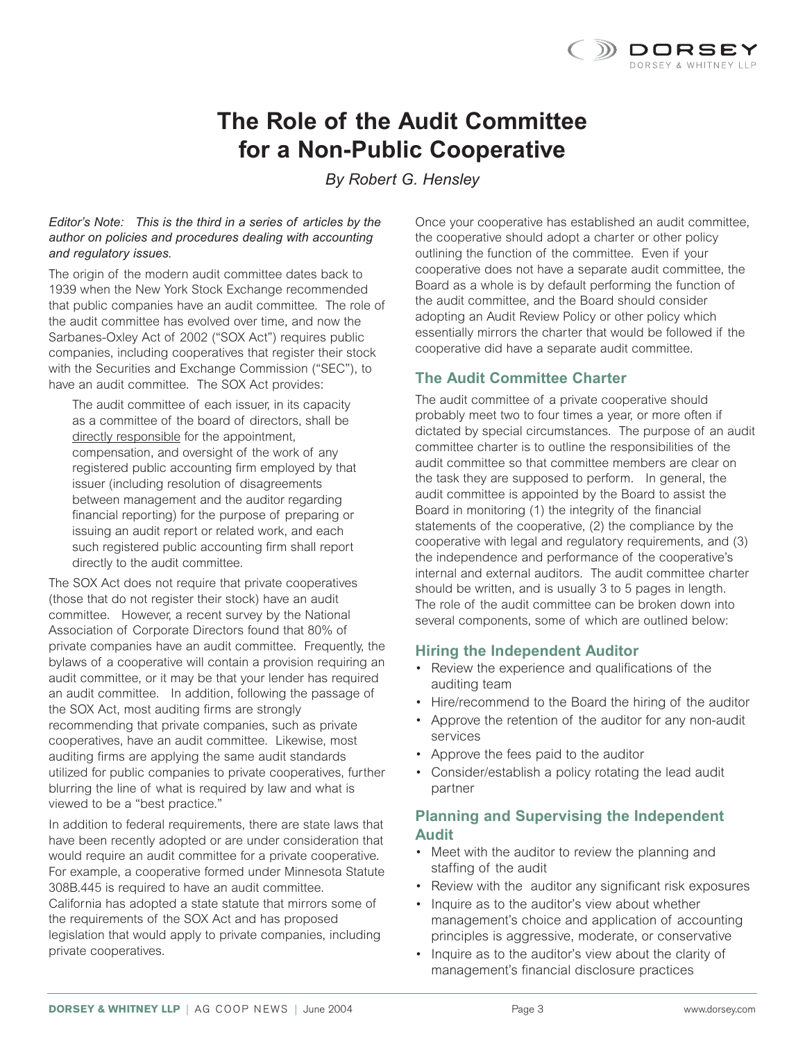

# **The Role of the Audit Committee for a Non-Public Cooperative**

*By Robert G. Hensley*

#### *Editor's Note: This is the third in a series of articles by the author on policies and procedures dealing with accounting and regulatory issues.*

The origin of the modern audit committee dates back to 1939 when the New York Stock Exchange recommended that public companies have an audit committee. The role of the audit committee has evolved over time, and now the Sarbanes-Oxley Act of 2002 ("SOX Act") requires public companies, including cooperatives that register their stock with the Securities and Exchange Commission ("SEC"), to have an audit committee. The SOX Act provides:

The audit committee of each issuer, in its capacity as a committee of the board of directors, shall be directly responsible for the appointment, compensation, and oversight of the work of any registered public accounting firm employed by that issuer (including resolution of disagreements between management and the auditor regarding financial reporting) for the purpose of preparing or issuing an audit report or related work, and each such registered public accounting firm shall report directly to the audit committee.

The SOX Act does not require that private cooperatives (those that do not register their stock) have an audit committee. However, a recent survey by the National Association of Corporate Directors found that 80% of private companies have an audit committee. Frequently, the bylaws of a cooperative will contain a provision requiring an audit committee, or it may be that your lender has required an audit committee. In addition, following the passage of the SOX Act, most auditing firms are strongly recommending that private companies, such as private cooperatives, have an audit committee. Likewise, most auditing firms are applying the same audit standards utilized for public companies to private cooperatives, further blurring the line of what is required by law and what is viewed to be a "best practice."

In addition to federal requirements, there are state laws that have been recently adopted or are under consideration that would require an audit committee for a private cooperative. For example, a cooperative formed under Minnesota Statute 308B.445 is required to have an audit committee. California has adopted a state statute that mirrors some of the requirements of the SOX Act and has proposed legislation that would apply to private companies, including private cooperatives.

Once your cooperative has established an audit committee, the cooperative should adopt a charter or other policy outlining the function of the committee. Even if your cooperative does not have a separate audit committee, the Board as a whole is by default performing the function of the audit committee, and the Board should consider adopting an Audit Review Policy or other policy which essentially mirrors the charter that would be followed if the cooperative did have a separate audit committee.

## **The Audit Committee Charter**

The audit committee of a private cooperative should probably meet two to four times a year, or more often if dictated by special circumstances. The purpose of an audit committee charter is to outline the responsibilities of the audit committee so that committee members are clear on the task they are supposed to perform. In general, the audit committee is appointed by the Board to assist the Board in monitoring (1) the integrity of the financial statements of the cooperative, (2) the compliance by the cooperative with legal and regulatory requirements, and (3) the independence and performance of the cooperative's internal and external auditors. The audit committee charter should be written, and is usually 3 to 5 pages in length. The role of the audit committee can be broken down into several components, some of which are outlined below:

#### **Hiring the Independent Auditor**

- Review the experience and qualifications of the auditing team
- Hire/recommend to the Board the hiring of the auditor
- Approve the retention of the auditor for any non-audit services
- Approve the fees paid to the auditor
- Consider/establish a policy rotating the lead audit partner

## **Planning and Supervising the Independent Audit**

- Meet with the auditor to review the planning and staffing of the audit
- Review with the auditor any significant risk exposures
- Inquire as to the auditor's view about whether management's choice and application of accounting principles is aggressive, moderate, or conservative
- Inquire as to the auditor's view about the clarity of management's financial disclosure practices